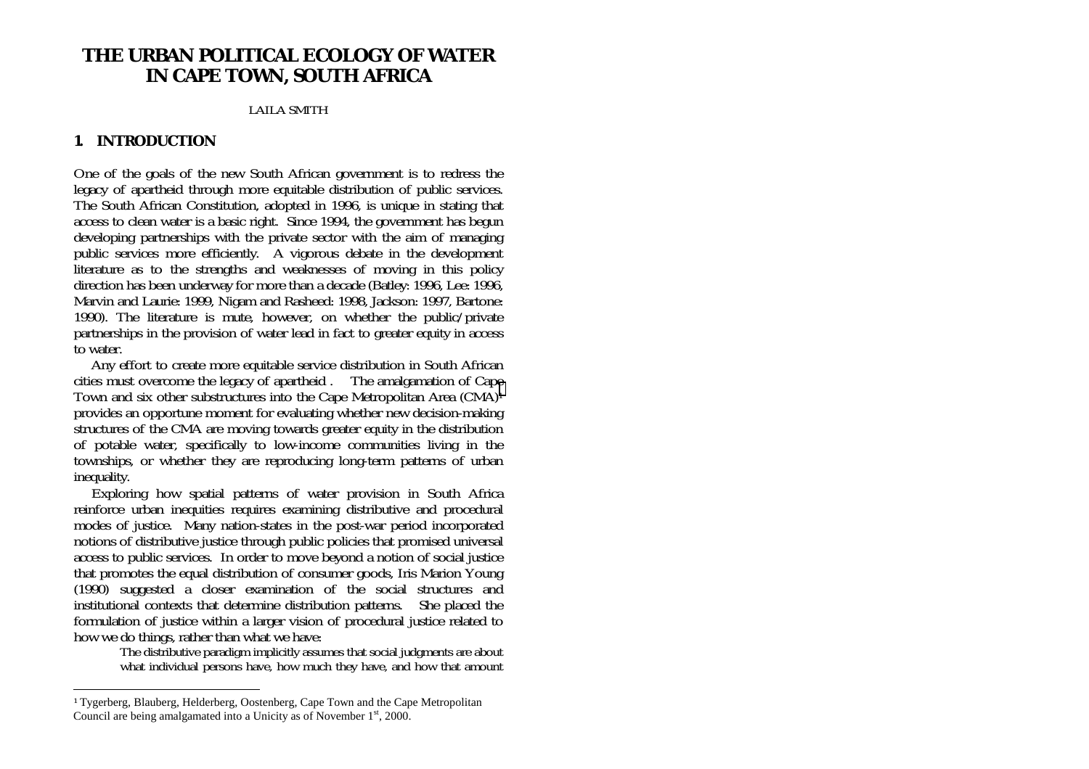# **THE URBAN POLITICAL ECOLOGY OF WATER IN CAPE TOWN, SOUTH AFRICA**

#### LAILA SMITH

### **1. INTRODUCTION**

One of the goals of the new South African government is to redress the legacy of apartheid through more equitable distribution of public services. The South African Constitution, adopted in 1996, is unique in stating that access to clean water is a basic right. Since 1994, the government has begun developing partnerships with the private sector with the aim of managing public services more efficiently. A vigorous debate in the development literature as to the strengths and weaknesses of moving in this policy direction has been underway for more than a decade (Batley: 1996, Lee: 1996, Marvin and Laurie: 1999, Nigam and Rasheed: 1998, Jackson: 1997, Bartone: 1990). The literature is mute, however, on whether the public/private partnerships in the provision of water lead in fact to greater equity in access to water.

 Any effort to create more equitable service distribution in South African cities must overcome the legacy of apartheid . The amalgamation of Cape Town and six other substructures into the Cape Metropolitan Area (CMA)1 provides an opportune moment for evaluating whether new decision-making structures of the CMA are moving towards greater equity in the distribution of potable water, specifically to low-income communities living in the townships, or whether they are reproducing long-term patterns of urban inequality.

 Exploring how spatial patterns of water provision in South Africa reinforce urban inequities requires examining distributive and procedural modes of justice. Many nation-states in the post-war period incorporated notions of distributive justice through public policies that promised universal access to public services. In order to move beyond a notion of social justice that promotes the equal distribution of consumer goods, Iris Marion Young (1990) suggested a closer examination of the social structures and institutional contexts that determine distribution patterns. She placed the formulation of justice within a larger vision of procedural justice related to how we do things, rather than what we have:

The distributive paradigm implicitly assumes that social judgments are about what individual persons have, how much they have, and how that amount

<sup>1</sup> Tygerberg, Blauberg, Helderberg, Oostenberg, Cape Town and the Cape Metropolitan Council are being amalgamated into a Unicity as of November  $1<sup>st</sup>$ , 2000.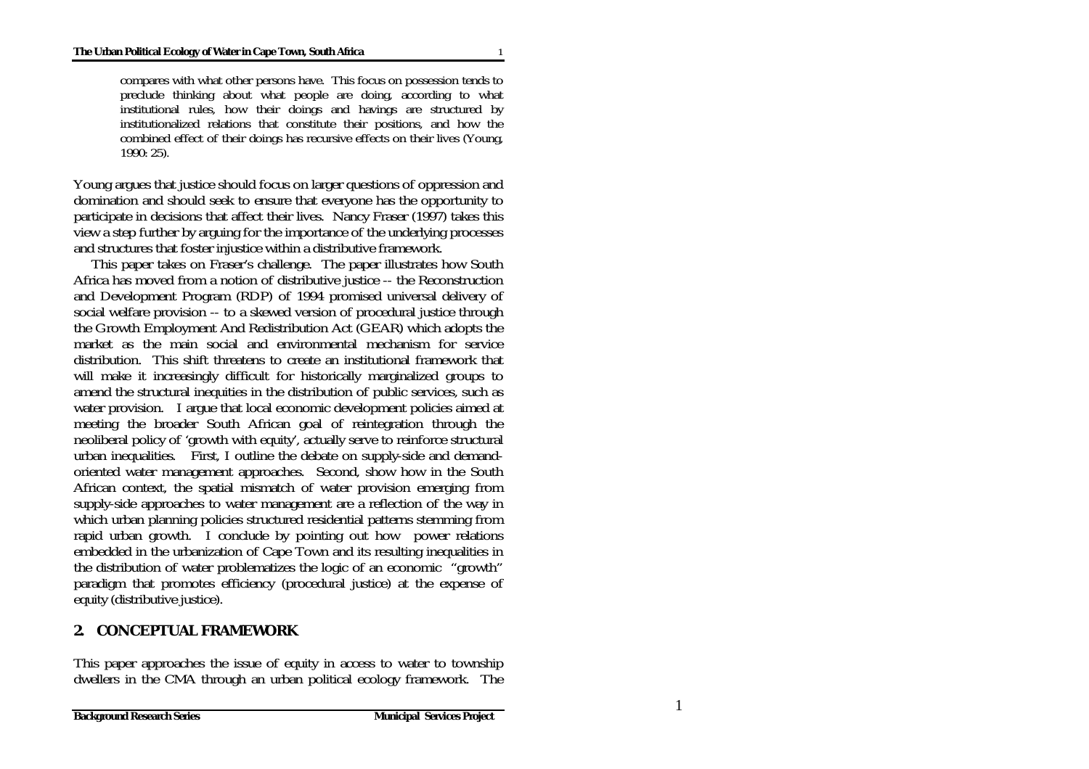compares with what other persons have. This focus on possession tends to preclude thinking about what people are doing, according to what institutional rules, how their doings and havings are structured by institutionalized relations that constitute their positions, and how the combined effect of their doings has recursive effects on their lives (Young, 1990: 25).

Young argues that justice should focus on larger questions of oppression and domination and should seek to ensure that everyone has the opportunity to participate in decisions that affect their lives. Nancy Fraser (1997) takes this view a step further by arguing for the importance of the underlying processes and structures that foster injustice within a distributive framework.

 This paper takes on Fraser's challenge. The paper illustrates how South Africa has moved from a notion of distributive justice -- the Reconstruction and Development Program (RDP) of 1994 promised universal delivery of social welfare provision -- to a skewed version of procedural justice through the Growth Employment And Redistribution Act (GEAR) which adopts the market as the main social and environmental mechanism for service distribution. This shift threatens to create an institutional framework that will make it increasingly difficult for historically marginalized groups to amend the structural inequities in the distribution of public services, such as water provision. I argue that local economic development policies aimed at meeting the broader South African goal of reintegration through the neoliberal policy of 'growth with equity', actually serve to reinforce structural urban inequalities. First, I outline the debate on supply-side and demandoriented water management approaches. Second, show how in the South African context, the spatial mismatch of water provision emerging from supply-side approaches to water management are a reflection of the way in which urban planning policies structured residential patterns stemming from rapid urban growth. I conclude by pointing out how power relations embedded in the urbanization of Cape Town and its resulting inequalities in the distribution of water problematizes the logic of an economic "growth" paradigm that promotes efficiency (procedural justice) at the expense of equity (distributive justice).

### **2. CONCEPTUAL FRAMEWORK**

This paper approaches the issue of equity in access to water to township dwellers in the CMA through an urban political ecology framework. The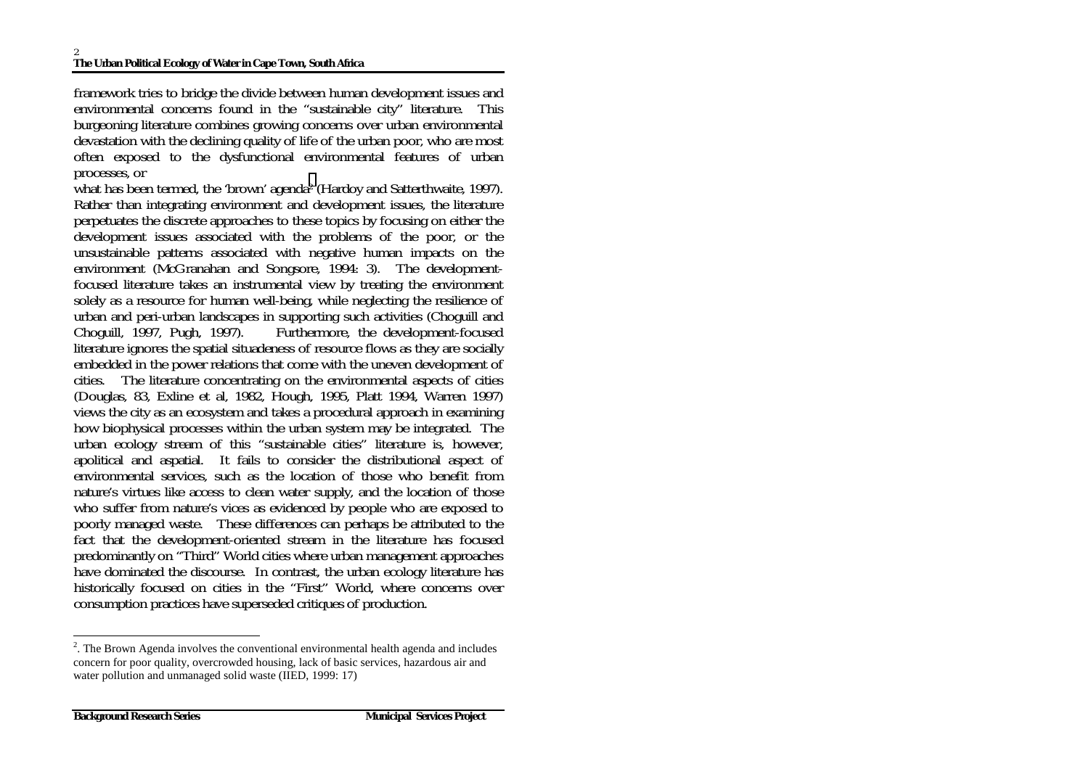framework tries to bridge the divide between human development issues and environmental concerns found in the "sustainable city" literature. This burgeoning literature combines growing concerns over urban environmental devastation with the declining quality of life of the urban poor, who are most often exposed to the dysfunctional environmental features of urban processes, or

what has been termed, the 'brown' agenda<sup>2</sup> (Hardoy and Satterthwaite, 1997). Rather than integrating environment and development issues, the literature perpetuates the discrete approaches to these topics by focusing on either the development issues associated with the problems of the poor, or the unsustainable patterns associated with negative human impacts on the environment (McGranahan and Songsore, 1994: 3). The developmentfocused literature takes an instrumental view by treating the environment solely as a resource for human well-being, while neglecting the resilience of urban and peri-urban landscapes in supporting such activities (Choguill and Choguill, 1997, Pugh, 1997). Furthermore, the development-focused Furthermore, the development-focused literature ignores the spatial situadeness of resource flows as they are socially embedded in the power relations that come with the uneven development of cities. The literature concentrating on the environmental aspects of cities (Douglas, 83, Exline et al, 1982, Hough, 1995, Platt 1994, Warren 1997) views the city as an ecosystem and takes a procedural approach in examining how biophysical processes within the urban system may be integrated. The urban ecology stream of this "sustainable cities" literature is, however, apolitical and aspatial. It fails to consider the distributional aspect of environmental services, such as the location of those who benefit from nature's virtues like access to clean water supply, and the location of those who suffer from nature's vices as evidenced by people who are exposed to poorly managed waste. These differences can perhaps be attributed to the fact that the development-oriented stream in the literature has focused predominantly on "Third" World cities where urban management approaches have dominated the discourse. In contrast, the urban ecology literature has historically focused on cities in the "First" World, where concerns over consumption practices have superseded critiques of production.

<sup>&</sup>lt;sup>2</sup>. The Brown Agenda involves the conventional environmental health agenda and includes concern for poor quality, overcrowded housing, lack of basic services, hazardous air and water pollution and unmanaged solid waste (IIED, 1999: 17)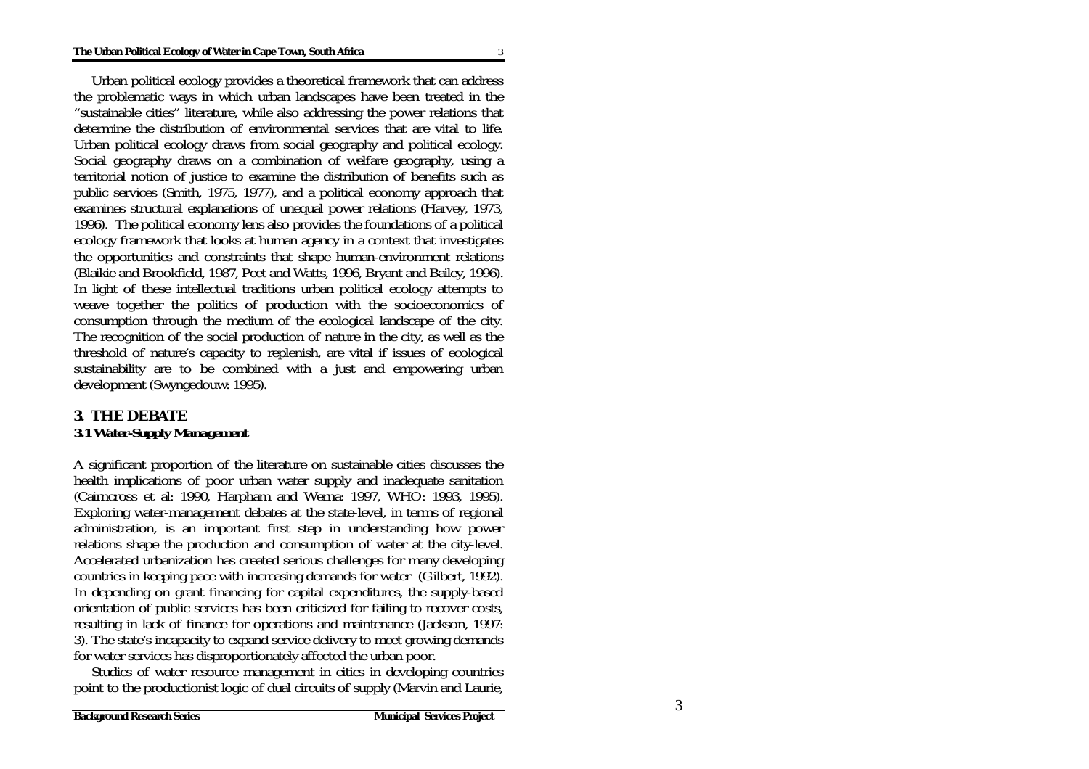Urban political ecology provides a theoretical framework that can address the problematic ways in which urban landscapes have been treated in the "sustainable cities" literature, while also addressing the power relations that determine the distribution of environmental services that are vital to life. Urban political ecology draws from social geography and political ecology. Social geography draws on a combination of welfare geography, using a territorial notion of justice to examine the distribution of benefits such as public services (Smith, 1975, 1977), and a political economy approach that examines structural explanations of unequal power relations (Harvey, 1973, 1996). The political economy lens also provides the foundations of a political ecology framework that looks at human agency in a context that investigates the opportunities and constraints that shape human-environment relations (Blaikie and Brookfield, 1987, Peet and Watts, 1996, Bryant and Bailey, 1996). In light of these intellectual traditions urban political ecology attempts to weave together the politics of production with the socioeconomics of consumption through the medium of the ecological landscape of the city. The recognition of the social production of nature in the city, as well as the threshold of nature's capacity to replenish, are vital if issues of ecological sustainability are to be combined with a just and empowering urban development (Swyngedouw: 1995).

### **3. THE DEBATE** *3.1 Water-Supply Management*

A significant proportion of the literature on sustainable cities discusses the health implications of poor urban water supply and inadequate sanitation (Cairncross et al: 1990, Harpham and Werna: 1997, WHO: 1993, 1995). Exploring water-management debates at the state-level, in terms of regional administration, is an important first step in understanding how power relations shape the production and consumption of water at the city-level. Accelerated urbanization has created serious challenges for many developing countries in keeping pace with increasing demands for water (Gilbert, 1992). In depending on grant financing for capital expenditures, the supply-based orientation of public services has been criticized for failing to recover costs, resulting in lack of finance for operations and maintenance (Jackson, 1997: 3). The state's incapacity to expand service delivery to meet growing demands for water services has disproportionately affected the urban poor.

 Studies of water resource management in cities in developing countries point to the productionist logic of dual circuits of supply (Marvin and Laurie,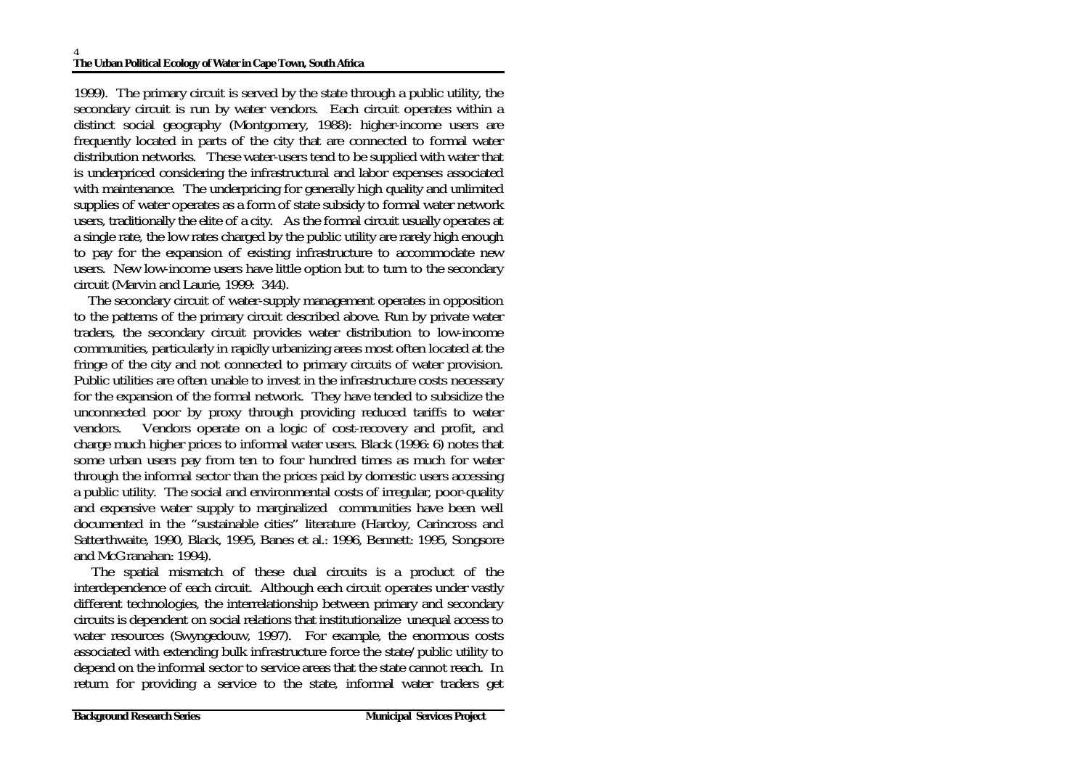1999). The primary circuit is served by the state through a public utility, the secondary circuit is run by water vendors. Each circuit operates within a distinct social geography (Montgomery, 1988): higher-income users are frequently located in parts of the city that are connected to formal water distribution networks. These water-users tend to be supplied with water that is underpriced considering the infrastructural and labor expenses associated with maintenance. The underpricing for generally high quality and unlimited supplies of water operates as a form of state subsidy to formal water network users, traditionally the elite of a city. As the formal circuit usually operates at a single rate, the low rates charged by the public utility are rarely high enough to pay for the expansion of existing infrastructure to accommodate new users. New low-income users have little option but to turn to the secondary circuit (Marvin and Laurie, 1999: 344).

 The secondary circuit of water-supply management operates in opposition to the patterns of the primary circuit described above. Run by private water traders, the secondary circuit provides water distribution to low-income communities, particularly in rapidly urbanizing areas most often located at the fringe of the city and not connected to primary circuits of water provision. Public utilities are often unable to invest in the infrastructure costs necessary for the expansion of the formal network. They have tended to subsidize the unconnected poor by proxy through providing reduced tariffs to water vendors. Vendors operate on a logic of cost-recovery and profit, and charge much higher prices to informal water users. Black (1996: 6) notes that some urban users pay from ten to four hundred times as much for water through the informal sector than the prices paid by domestic users accessing a public utility. The social and environmental costs of irregular, poor-quality and expensive water supply to marginalized communities have been well documented in the "sustainable cities" literature (Hardoy, Carincross and Satterthwaite, 1990, Black, 1995, Banes et al.: 1996, Bennett: 1995, Songsore and McGranahan: 1994).

 The spatial mismatch of these dual circuits is a product of the interdependence of each circuit. Although each circuit operates under vastly different technologies, the interrelationship between primary and secondary circuits is dependent on social relations that institutionalize unequal access to water resources (Swyngedouw, 1997). For example, the enormous costs associated with extending bulk infrastructure force the state/public utility to depend on the informal sector to service areas that the state cannot reach. In return for providing a service to the state, informal water traders get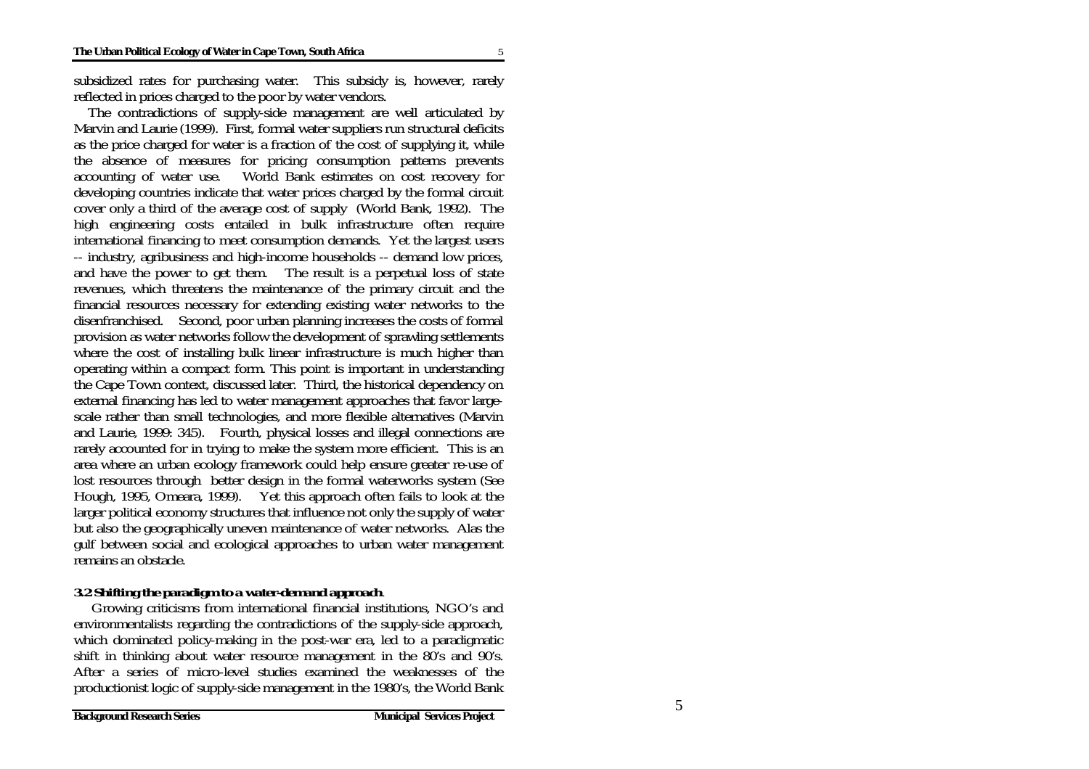subsidized rates for purchasing water. This subsidy is, however, rarely reflected in prices charged to the poor by water vendors.

 The contradictions of supply-side management are well articulated by Marvin and Laurie (1999). First, formal water suppliers run structural deficits as the price charged for water is a fraction of the cost of supplying it, while the absence of measures for pricing consumption patterns prevents accounting of water use. World Bank estimates on cost recovery for developing countries indicate that water prices charged by the formal circuit cover only a third of the average cost of supply (World Bank, 1992). The high engineering costs entailed in bulk infrastructure often require international financing to meet consumption demands. Yet the largest users -- industry, agribusiness and high-income households -- demand low prices, and have the power to get them. The result is a perpetual loss of state revenues, which threatens the maintenance of the primary circuit and the financial resources necessary for extending existing water networks to the disenfranchised. Second, poor urban planning increases the costs of formal provision as water networks follow the development of sprawling settlements where the cost of installing bulk linear infrastructure is much higher than operating within a compact form. This point is important in understanding the Cape Town context, discussed later. Third, the historical dependency on external financing has led to water management approaches that favor largescale rather than small technologies, and more flexible alternatives (Marvin and Laurie, 1999: 345). Fourth, physical losses and illegal connections are rarely accounted for in trying to make the system more efficient. This is an area where an urban ecology framework could help ensure greater re-use of lost resources through better design in the formal waterworks system (See Hough, 1995, Omeara, 1999). Yet this approach often fails to look at the larger political economy structures that influence not only the supply of water but also the geographically uneven maintenance of water networks. Alas the gulf between social and ecological approaches to urban water management remains an obstacle.

#### *3.2 Shifting the paradigm to a water-demand approach.*

 Growing criticisms from international financial institutions, NGO's and environmentalists regarding the contradictions of the supply-side approach, which dominated policy-making in the post-war era, led to a paradigmatic shift in thinking about water resource management in the 80's and 90's. After a series of micro-level studies examined the weaknesses of the productionist logic of supply-side management in the 1980's, the World Bank

5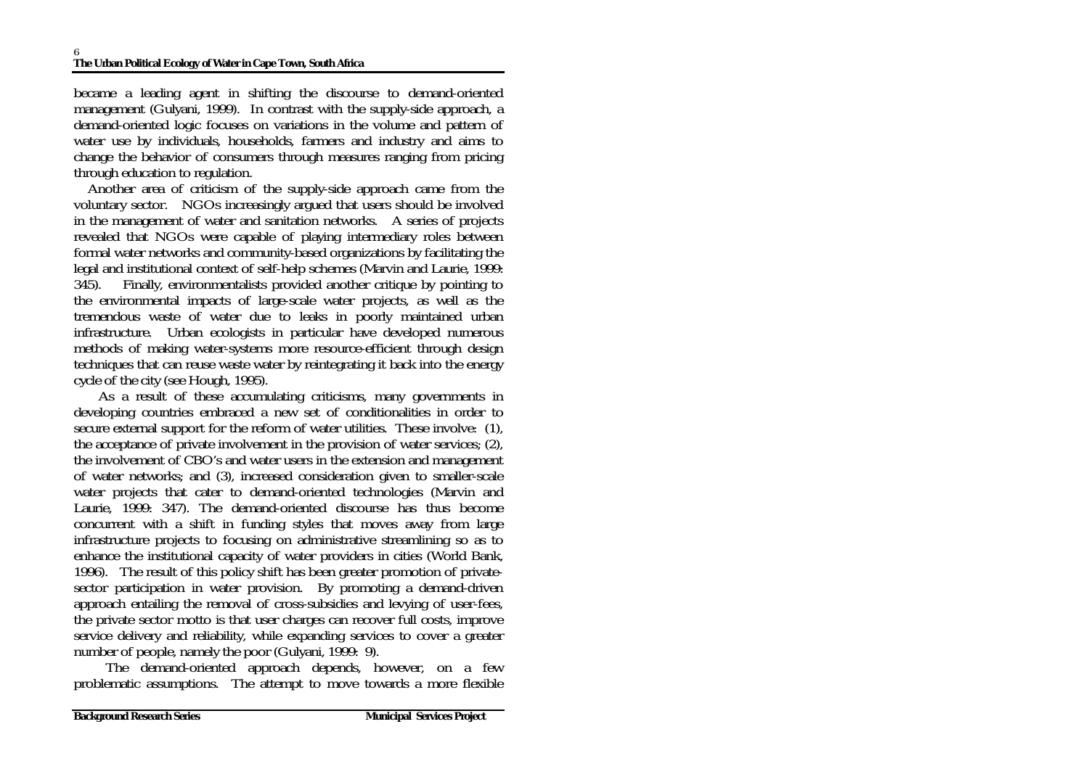became a leading agent in shifting the discourse to demand-oriented management (Gulyani, 1999). In contrast with the supply-side approach, a demand-oriented logic focuses on variations in the volume and pattern of water use by individuals, households, farmers and industry and aims to change the behavior of consumers through measures ranging from pricing through education to regulation.

 Another area of criticism of the supply-side approach came from the voluntary sector. NGOs increasingly argued that users should be involved in the management of water and sanitation networks. A series of projects revealed that NGOs were capable of playing intermediary roles between formal water networks and community-based organizations by facilitating the legal and institutional context of self-help schemes (Marvin and Laurie, 1999: 345). Finally, environmentalists provided another critique by pointing to the environmental impacts of large-scale water projects, as well as the tremendous waste of water due to leaks in poorly maintained urban infrastructure. Urban ecologists in particular have developed numerous methods of making water-systems more resource-efficient through design techniques that can reuse waste water by reintegrating it back into the energy cycle of the city (see Hough, 1995).

 As a result of these accumulating criticisms, many governments in developing countries embraced a new set of conditionalities in order to secure external support for the reform of water utilities. These involve: (1), the acceptance of private involvement in the provision of water services; (2), the involvement of CBO's and water users in the extension and management of water networks; and (3), increased consideration given to smaller-scale water projects that cater to demand-oriented technologies (Marvin and Laurie, 1999: 347). The demand-oriented discourse has thus become concurrent with a shift in funding styles that moves away from large infrastructure projects to focusing on administrative streamlining so as to enhance the institutional capacity of water providers in cities (World Bank, 1996). The result of this policy shift has been greater promotion of privatesector participation in water provision. By promoting a demand-driven approach entailing the removal of cross-subsidies and levying of user-fees, the private sector motto is that user charges can recover full costs, improve service delivery and reliability, while expanding services to cover a greater number of people, namely the poor (Gulyani, 1999: 9).

 The demand-oriented approach depends, however, on a few problematic assumptions. The attempt to move towards a more flexible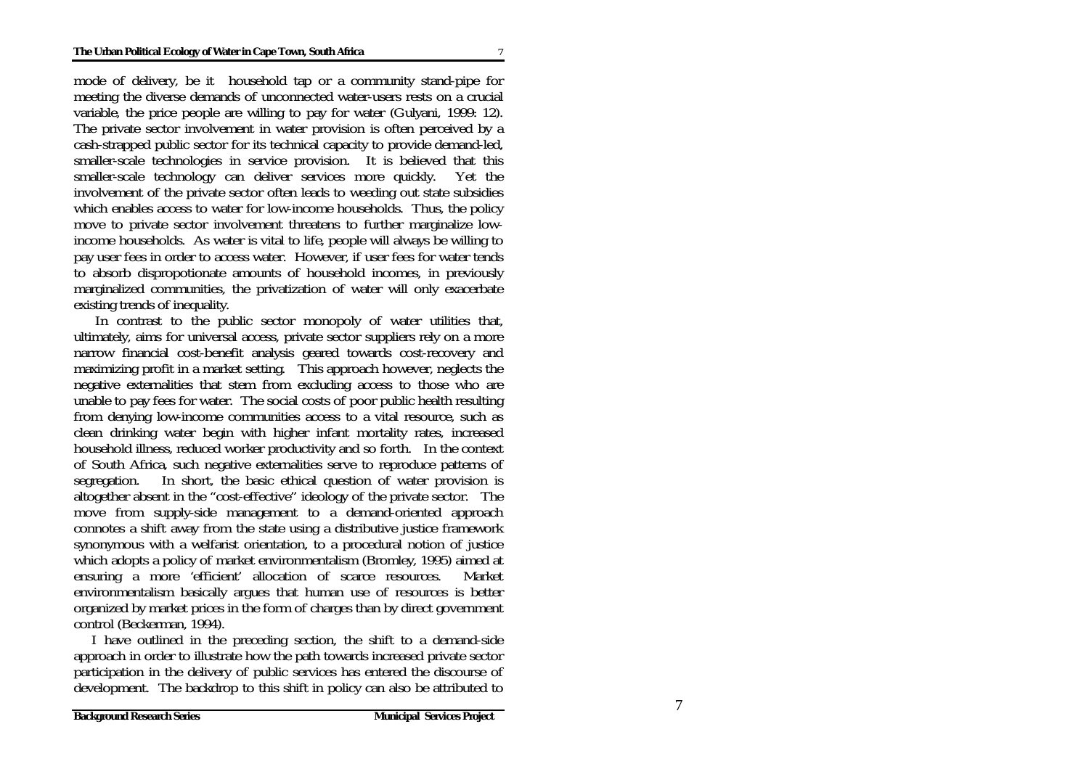mode of delivery, be it household tap or a community stand-pipe for meeting the diverse demands of unconnected water-users rests on a crucial variable, the price people are willing to pay for water (Gulyani, 1999: 12). The private sector involvement in water provision is often perceived by a cash-strapped public sector for its technical capacity to provide demand-led, smaller-scale technologies in service provision. It is believed that this smaller-scale technology can deliver services more quickly. Yet the involvement of the private sector often leads to weeding out state subsidies which enables access to water for low-income households. Thus, the policy move to private sector involvement threatens to further marginalize lowincome households. As water is vital to life, people will always be willing to pay user fees in order to access water. However, if user fees for water tends to absorb dispropotionate amounts of household incomes, in previously marginalized communities, the privatization of water will only exacerbate existing trends of inequality.

 In contrast to the public sector monopoly of water utilities that, ultimately, aims for universal access, private sector suppliers rely on a more narrow financial cost-benefit analysis geared towards cost-recovery and maximizing profit in a market setting. This approach however, neglects the negative externalities that stem from excluding access to those who are unable to pay fees for water. The social costs of poor public health resulting from denying low-income communities access to a vital resource, such as clean drinking water begin with higher infant mortality rates, increased household illness, reduced worker productivity and so forth. In the context of South Africa, such negative externalities serve to reproduce patterns of segregation. In short, the basic ethical question of water provision is altogether absent in the "cost-effective" ideology of the private sector. The move from supply-side management to a demand-oriented approach connotes a shift away from the state using a distributive justice framework synonymous with a welfarist orientation, to a procedural notion of justice which adopts a policy of market environmentalism (Bromley, 1995) aimed at ensuring a more 'efficient' allocation of scarce resources. Market environmentalism basically argues that human use of resources is better organized by market prices in the form of charges than by direct government control (Beckerman, 1994).

 I have outlined in the preceding section, the shift to a demand-side approach in order to illustrate how the path towards increased private sector participation in the delivery of public services has entered the discourse of development. The backdrop to this shift in policy can also be attributed to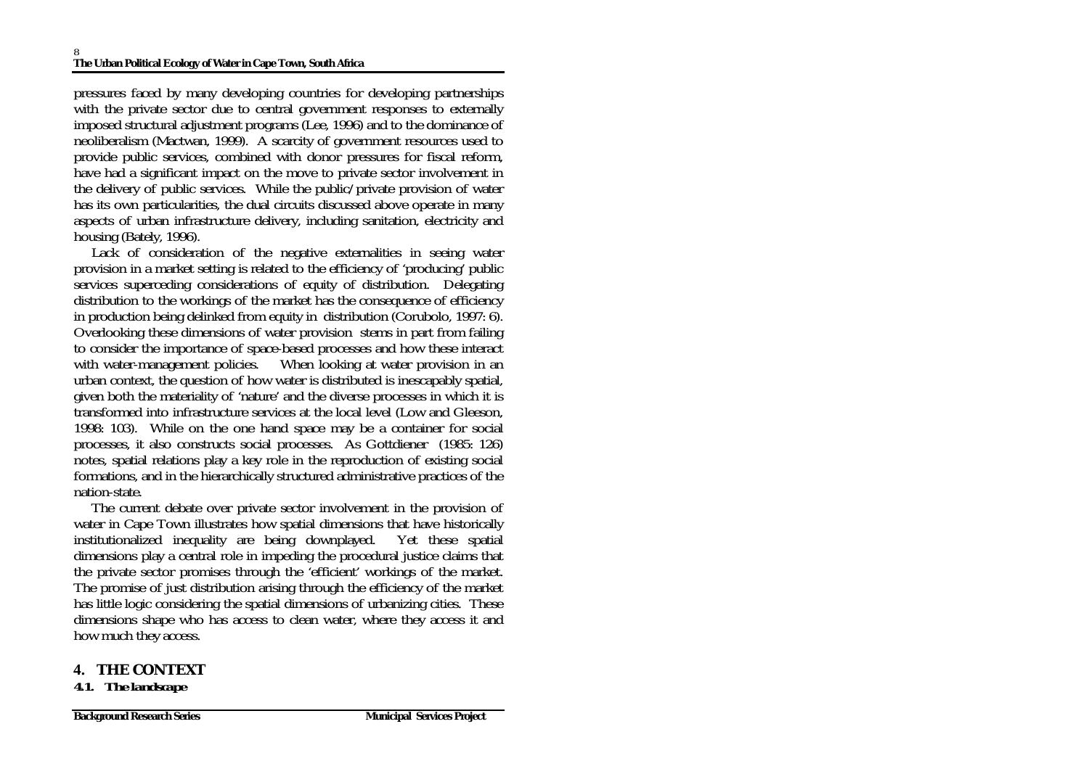pressures faced by many developing countries for developing partnerships with the private sector due to central government responses to externally imposed structural adjustment programs (Lee, 1996) and to the dominance of neoliberalism (Mactwan, 1999). A scarcity of government resources used to provide public services, combined with donor pressures for fiscal reform, have had a significant impact on the move to private sector involvement in the delivery of public services. While the public/private provision of water has its own particularities, the dual circuits discussed above operate in many aspects of urban infrastructure delivery, including sanitation, electricity and housing (Bately, 1996).

 Lack of consideration of the negative externalities in seeing water provision in a market setting is related to the efficiency of 'producing' public services superceding considerations of equity of distribution. Delegating distribution to the workings of the market has the consequence of efficiency in production being delinked from equity in distribution (Corubolo, 1997: 6). Overlooking these dimensions of water provision stems in part from failing to consider the importance of space-based processes and how these interact with water-management policies. When looking at water provision in an urban context, the question of how water is distributed is inescapably spatial, given both the materiality of 'nature' and the diverse processes in which it is transformed into infrastructure services at the local level (Low and Gleeson, 1998: 103). While on the one hand space may be a container for social processes, it also constructs social processes. As Gottdiener (1985: 126) notes, spatial relations play a key role in the reproduction of existing social formations, and in the hierarchically structured administrative practices of the nation-state.

 The current debate over private sector involvement in the provision of water in Cape Town illustrates how spatial dimensions that have historically institutionalized inequality are being downplayed. Yet these spatial dimensions play a central role in impeding the procedural justice claims that the private sector promises through the 'efficient' workings of the market. The promise of just distribution arising through the efficiency of the market has little logic considering the spatial dimensions of urbanizing cities. These dimensions shape who has access to clean water, where they access it and how much they access.

**4. THE CONTEXT** *4.1. The landscape*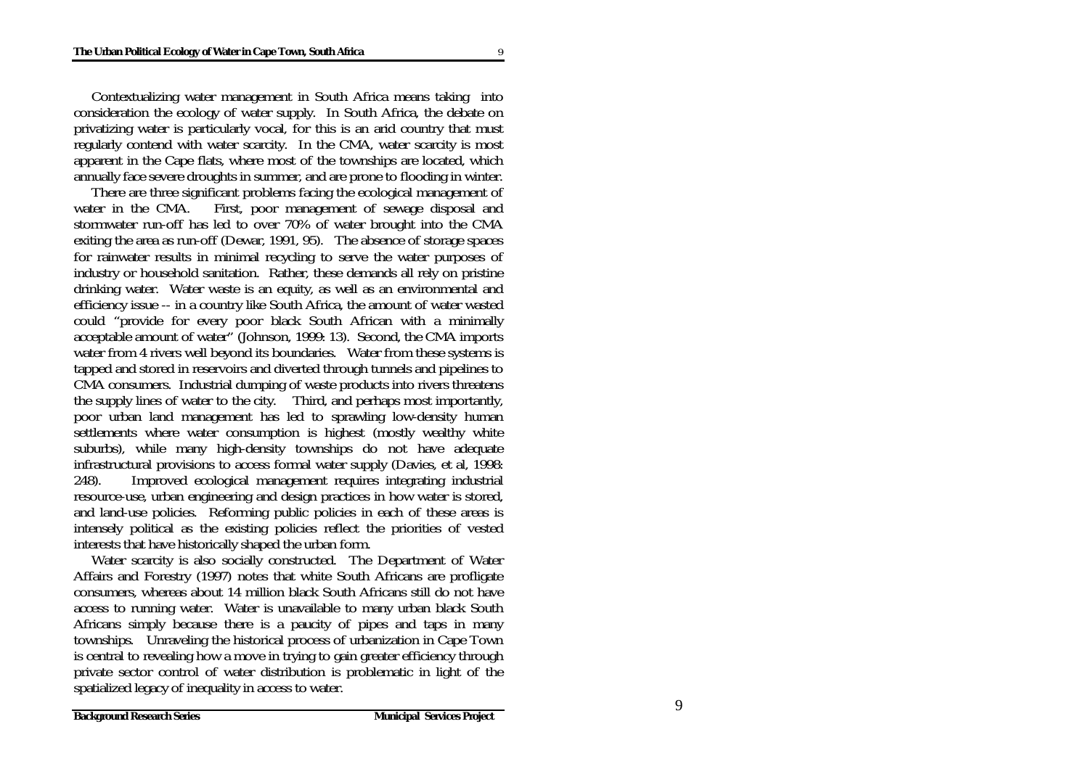Contextualizing water management in South Africa means taking into consideration the ecology of water supply. In South Africa, the debate on privatizing water is particularly vocal, for this is an arid country that must regularly contend with water scarcity. In the CMA, water scarcity is most apparent in the Cape flats, where most of the townships are located, which annually face severe droughts in summer, and are prone to flooding in winter.

 There are three significant problems facing the ecological management of water in the CMA. First, poor management of sewage disposal and stormwater run-off has led to over 70% of water brought into the CMA exiting the area as run-off (Dewar, 1991, 95). The absence of storage spaces for rainwater results in minimal recycling to serve the water purposes of industry or household sanitation. Rather, these demands all rely on pristine drinking water. Water waste is an equity, as well as an environmental and efficiency issue -- in a country like South Africa, the amount of water wasted could "provide for every poor black South African with a minimally acceptable amount of water" (Johnson, 1999: 13). Second, the CMA imports water from 4 rivers well beyond its boundaries. Water from these systems is tapped and stored in reservoirs and diverted through tunnels and pipelines to CMA consumers. Industrial dumping of waste products into rivers threatens the supply lines of water to the city. Third, and perhaps most importantly, poor urban land management has led to sprawling low-density human settlements where water consumption is highest (mostly wealthy white suburbs), while many high-density townships do not have adequate infrastructural provisions to access formal water supply (Davies, et al, 1998: 248). Improved ecological management requires integrating industrial resource-use, urban engineering and design practices in how water is stored, and land-use policies. Reforming public policies in each of these areas is intensely political as the existing policies reflect the priorities of vested interests that have historically shaped the urban form.

 Water scarcity is also socially constructed. The Department of Water Affairs and Forestry (1997) notes that white South Africans are profligate consumers, whereas about 14 million black South Africans still do not have access to running water. Water is unavailable to many urban black South Africans simply because there is a paucity of pipes and taps in many townships. Unraveling the historical process of urbanization in Cape Town is central to revealing how a move in trying to gain greater efficiency through private sector control of water distribution is problematic in light of the spatialized legacy of inequality in access to water.

9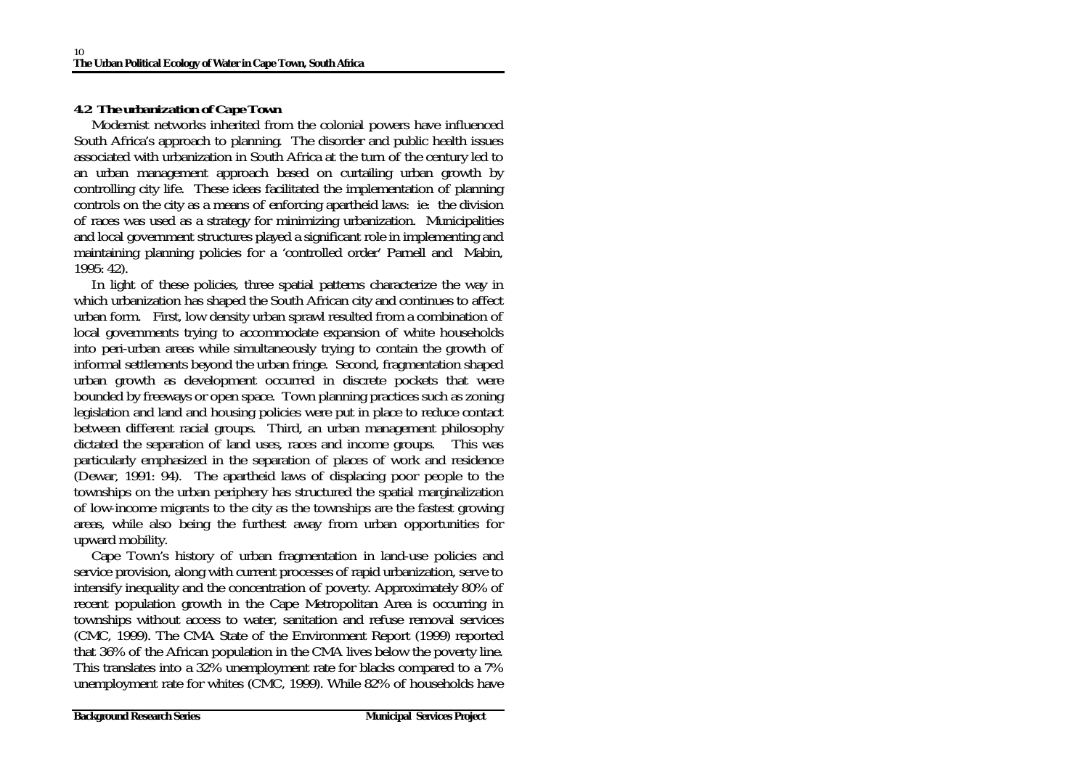### *4.2 The urbanization of Cape Town*

 Modernist networks inherited from the colonial powers have influenced South Africa's approach to planning. The disorder and public health issues associated with urbanization in South Africa at the turn of the century led to an urban management approach based on curtailing urban growth by controlling city life. These ideas facilitated the implementation of planning controls on the city as a means of enforcing apartheid laws: ie: the division of races was used as a strategy for minimizing urbanization. Municipalities and local government structures played a significant role in implementing and maintaining planning policies for a 'controlled order' Parnell and Mabin, 1995: 42).

 In light of these policies, three spatial patterns characterize the way in which urbanization has shaped the South African city and continues to affect urban form. First, low density urban sprawl resulted from a combination of local governments trying to accommodate expansion of white households into peri-urban areas while simultaneously trying to contain the growth of informal settlements beyond the urban fringe. Second, fragmentation shaped urban growth as development occurred in discrete pockets that were bounded by freeways or open space. Town planning practices such as zoning legislation and land and housing policies were put in place to reduce contact between different racial groups. Third, an urban management philosophy dictated the separation of land uses, races and income groups. This was particularly emphasized in the separation of places of work and residence (Dewar, 1991: 94). The apartheid laws of displacing poor people to the townships on the urban periphery has structured the spatial marginalization of low-income migrants to the city as the townships are the fastest growing areas, while also being the furthest away from urban opportunities for upward mobility.

 Cape Town's history of urban fragmentation in land-use policies and service provision, along with current processes of rapid urbanization, serve to intensify inequality and the concentration of poverty. Approximately 80% of recent population growth in the Cape Metropolitan Area is occurring in townships without access to water, sanitation and refuse removal services (CMC, 1999). The CMA State of the Environment Report (1999) reported that 36% of the African population in the CMA lives below the poverty line. This translates into a 32% unemployment rate for blacks compared to a 7% unemployment rate for whites (CMC, 1999). While 82% of households have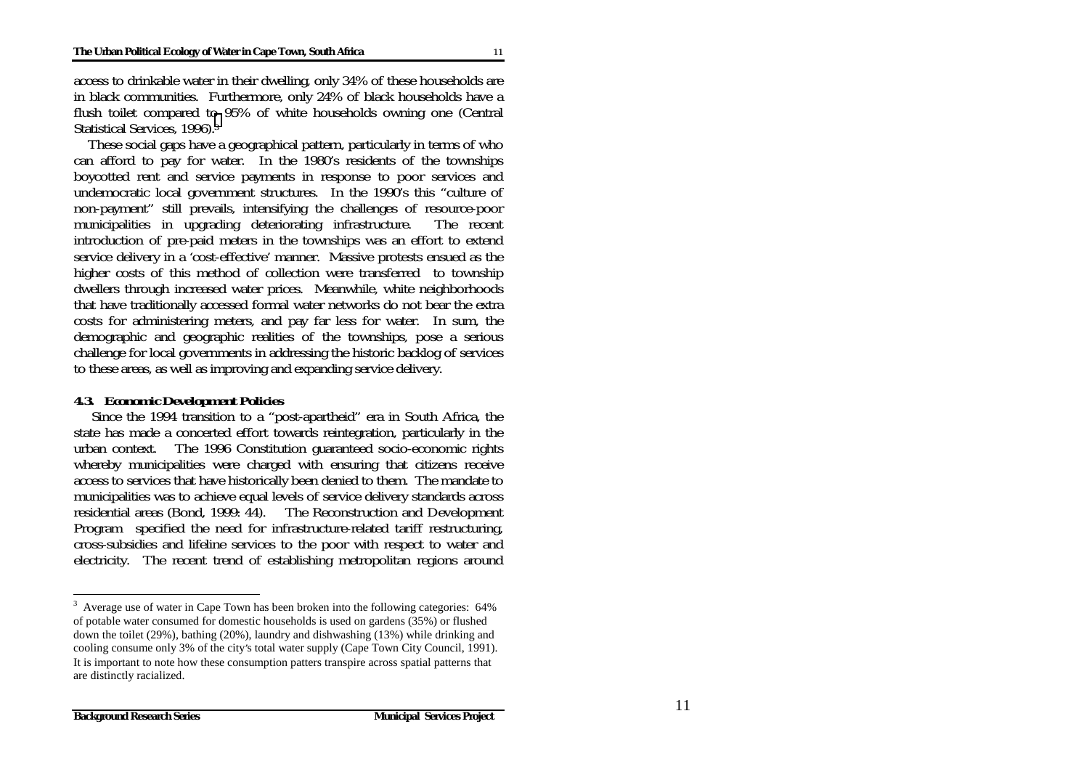access to drinkable water in their dwelling, only 34% of these households are in black communities. Furthermore, only 24% of black households have a flush toilet compared to 95% of white households owning one (Central Statistical Services, 1996).3

 These social gaps have a geographical pattern, particularly in terms of who can afford to pay for water. In the 1980's residents of the townships boycotted rent and service payments in response to poor services and undemocratic local government structures. In the 1990's this "culture of non-payment" still prevails, intensifying the challenges of resource-poor municipalities in upgrading deteriorating infrastructure. The recent introduction of pre-paid meters in the townships was an effort to extend service delivery in a 'cost-effective' manner. Massive protests ensued as the higher costs of this method of collection were transferred to township dwellers through increased water prices. Meanwhile, white neighborhoods that have traditionally accessed formal water networks do not bear the extra costs for administering meters, and pay far less for water. In sum, the demographic and geographic realities of the townships, pose a serious challenge for local governments in addressing the historic backlog of services to these areas, as well as improving and expanding service delivery.

#### *4.3. Economic Development Policies*

 Since the 1994 transition to a "post-apartheid" era in South Africa, the state has made a concerted effort towards reintegration, particularly in the urban context. The 1996 Constitution guaranteed socio-economic rights whereby municipalities were charged with ensuring that citizens receive access to services that have historically been denied to them. The mandate to municipalities was to achieve equal levels of service delivery standards across residential areas (Bond, 1999: 44). The Reconstruction and Development Program specified the need for infrastructure-related tariff restructuring, cross-subsidies and lifeline services to the poor with respect to water and electricity. The recent trend of establishing metropolitan regions around

<sup>&</sup>lt;sup>3</sup> Average use of water in Cape Town has been broken into the following categories: 64% of potable water consumed for domestic households is used on gardens (35%) or flushed down the toilet (29%), bathing (20%), laundry and dishwashing (13%) while drinking and cooling consume only 3% of the city's total water supply (Cape Town City Council, 1991). It is important to note how these consumption patters transpire across spatial patterns that are distinctly racialized.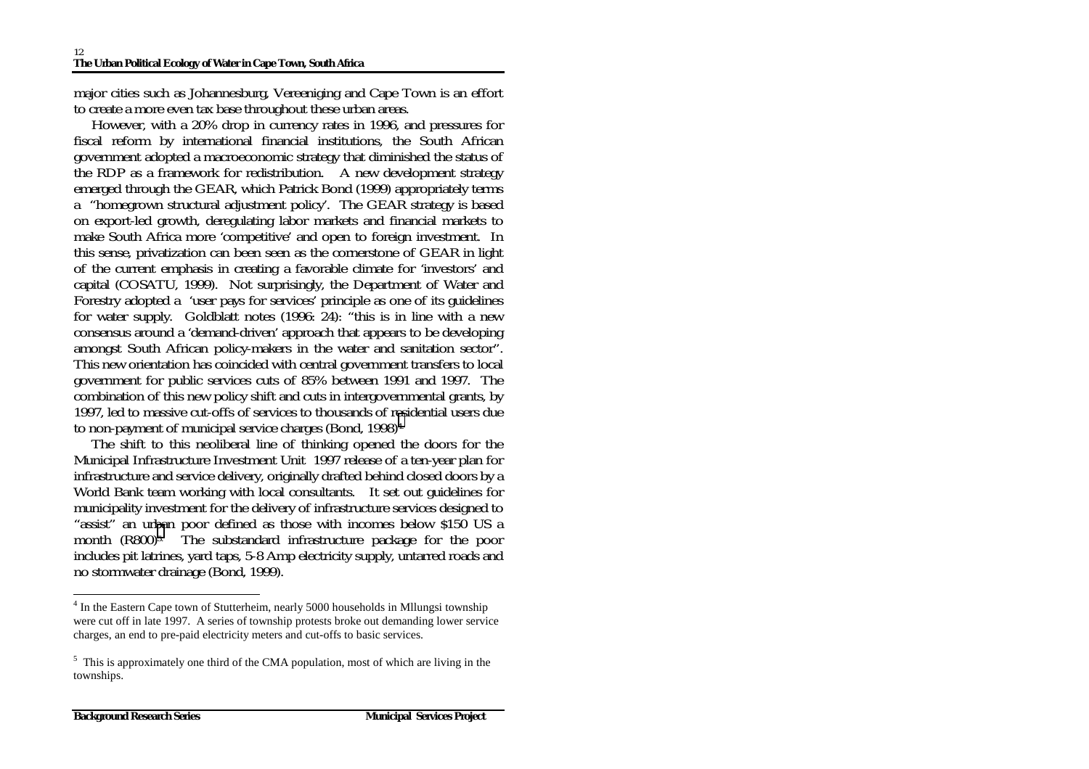major cities such as Johannesburg, Vereeniging and Cape Town is an effort to create a more even tax base throughout these urban areas.

 However, with a 20% drop in currency rates in 1996, and pressures for fiscal reform by international financial institutions, the South African government adopted a macroeconomic strategy that diminished the status of the RDP as a framework for redistribution.  $\infty$  A new development strategy emerged through the GEAR, which Patrick Bond (1999) appropriately terms <sup>a</sup>"homegrown structural adjustment policy'. The GEAR strategy is based on export-led growth, deregulating labor markets and financial markets to make South Africa more 'competitive' and open to foreign investment. In this sense, privatization can been seen as the cornerstone of GEAR in light of the current emphasis in creating a favorable climate for 'investors' and capital (COSATU, 1999). Not surprisingly, the Department of Water and Forestry adopted a 'user pays for services' principle as one of its guidelines for water supply. Goldblatt notes (1996: 24): "this is in line with a new consensus around a 'demand-driven' approach that appears to be developing amongst South African policy-makers in the water and sanitation sector". This new orientation has coincided with central government transfers to local government for public services cuts of 85% between 1991 and 1997. The combination of this new policy shift and cuts in intergovernmental grants, by 1997, led to massive cut-offs of services to thousands of residential users due to non-payment of municipal service charges (Bond, 1998)4.

 The shift to this neoliberal line of thinking opened the doors for the Municipal Infrastructure Investment Unit 1997 release of a ten-year plan for infrastructure and service delivery, originally drafted behind closed doors by a World Bank team working with local consultants. It set out guidelines for municipality investment for the delivery of infrastructure services designed to "assist" an urban poor defined as those with incomes below \$150 US a month (R800)<sup>5</sup>. The substandard infrastructure package for the poor includes pit latrines, yard taps, 5-8 Amp electricity supply, untarred roads and no stormwater drainage (Bond, 1999).

<sup>&</sup>lt;sup>4</sup> In the Eastern Cape town of Stutterheim, nearly 5000 households in Milungsi township were cut off in late 1997. A series of township protests broke out demanding lower service charges, an end to pre-paid electricity meters and cut-offs to basic services.

<sup>&</sup>lt;sup>5</sup> This is approximately one third of the CMA population, most of which are living in the townships.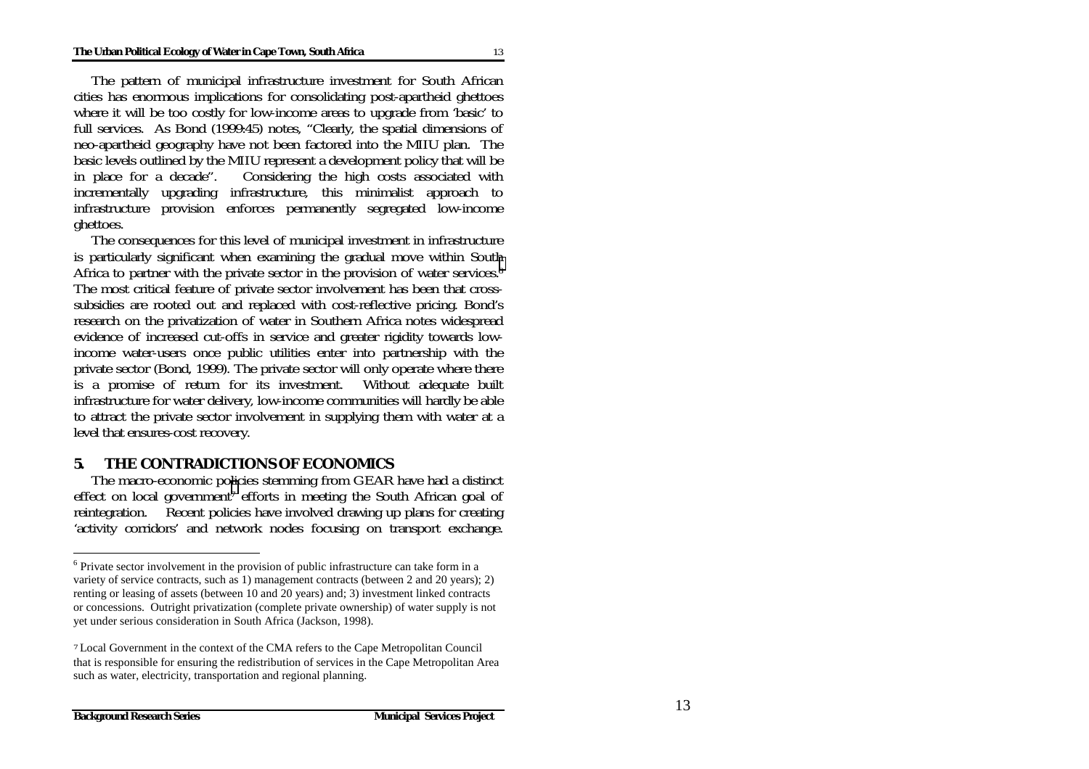The pattern of municipal infrastructure investment for South African cities has enormous implications for consolidating post-apartheid ghettoes where it will be too costly for low-income areas to upgrade from 'basic' to full services. As Bond (1999:45) notes, "Clearly, the spatial dimensions of neo-apartheid geography have not been factored into the MIIU plan. The basic levels outlined by the MIIU represent a development policy that will be in place for a decade". Considering the high costs associated with incrementally upgrading infrastructure, this minimalist approach to infrastructure provision enforces permanently segregated low-income ghettoes.

 The consequences for this level of municipal investment in infrastructure is particularly significant when examining the gradual move within South Africa to partner with the private sector in the provision of water services.<sup>6</sup> The most critical feature of private sector involvement has been that crosssubsidies are rooted out and replaced with cost-reflective pricing. Bond's research on the privatization of water in Southern Africa notes widespread evidence of increased cut-offs in service and greater rigidity towards lowincome water-users once public utilities enter into partnership with the private sector (Bond, 1999). The private sector will only operate where there is a promise of return for its investment. Without adequate built infrastructure for water delivery, low-income communities will hardly be able to attract the private sector involvement in supplying them with water at a level that ensures-cost recovery.

#### **5. THE CONTRADICTIONS OF ECONOMICS**

 The macro-economic policies stemming from GEAR have had a distinct effect on local government<sup>7</sup> efforts in meeting the South African goal of reintegration. Recent policies have involved drawing up plans for creating 'activity corridors' and network nodes focusing on transport exchange.

<sup>&</sup>lt;sup>6</sup> Private sector involvement in the provision of public infrastructure can take form in a variety of service contracts, such as 1) management contracts (between 2 and 20 years); 2) renting or leasing of assets (between 10 and 20 years) and; 3) investment linked contracts or concessions. Outright privatization (complete private ownership) of water supply is not yet under serious consideration in South Africa (Jackson, 1998).

<sup>7</sup> Local Government in the context of the CMA refers to the Cape Metropolitan Council that is responsible for ensuring the redistribution of services in the Cape Metropolitan Area such as water, electricity, transportation and regional planning.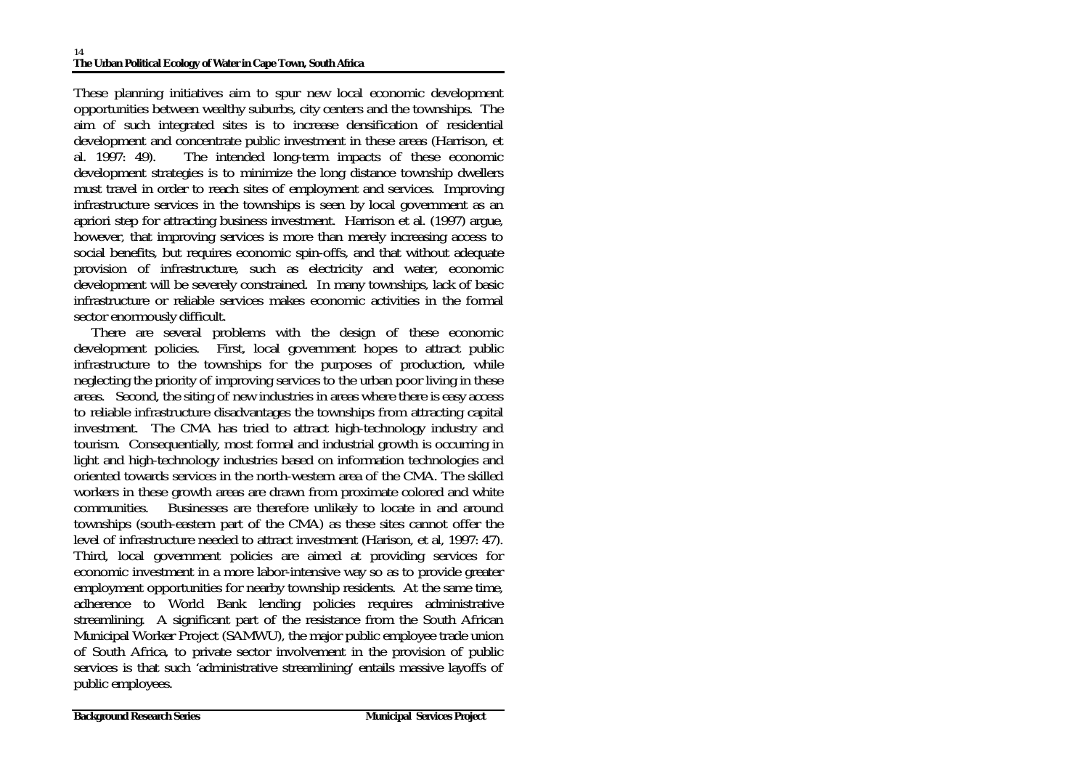These planning initiatives aim to spur new local economic development opportunities between wealthy suburbs, city centers and the townships. The aim of such integrated sites is to increase densification of residential development and concentrate public investment in these areas (Harrison, et al. 1997: 49). The intended long-term impacts of these economic development strategies is to minimize the long distance township dwellers must travel in order to reach sites of employment and services. Improving infrastructure services in the townships is seen by local government as an apriori step for attracting business investment. Harrison et al. (1997) argue, however, that improving services is more than merely increasing access to social benefits, but requires economic spin-offs, and that without adequate provision of infrastructure, such as electricity and water, economic development will be severely constrained. In many townships, lack of basic infrastructure or reliable services makes economic activities in the formal sector enormously difficult.

 There are several problems with the design of these economic development policies. First, local government hopes to attract public infrastructure to the townships for the purposes of production, while neglecting the priority of improving services to the urban poor living in these areas. Second, the siting of new industries in areas where there is easy access to reliable infrastructure disadvantages the townships from attracting capital investment. The CMA has tried to attract high-technology industry and tourism. Consequentially, most formal and industrial growth is occurring in light and high-technology industries based on information technologies and oriented towards services in the north-western area of the CMA. The skilled workers in these growth areas are drawn from proximate colored and white communities. Businesses are therefore unlikely to locate in and around townships (south-eastern part of the CMA) as these sites cannot offer the level of infrastructure needed to attract investment (Harison, et al, 1997: 47). Third, local government policies are aimed at providing services for economic investment in a more labor-intensive way so as to provide greater employment opportunities for nearby township residents. At the same time, adherence to World Bank lending policies requires administrative streamlining. A significant part of the resistance from the South African Municipal Worker Project (SAMWU), the major public employee trade union of South Africa, to private sector involvement in the provision of public services is that such 'administrative streamlining' entails massive layoffs of public employees.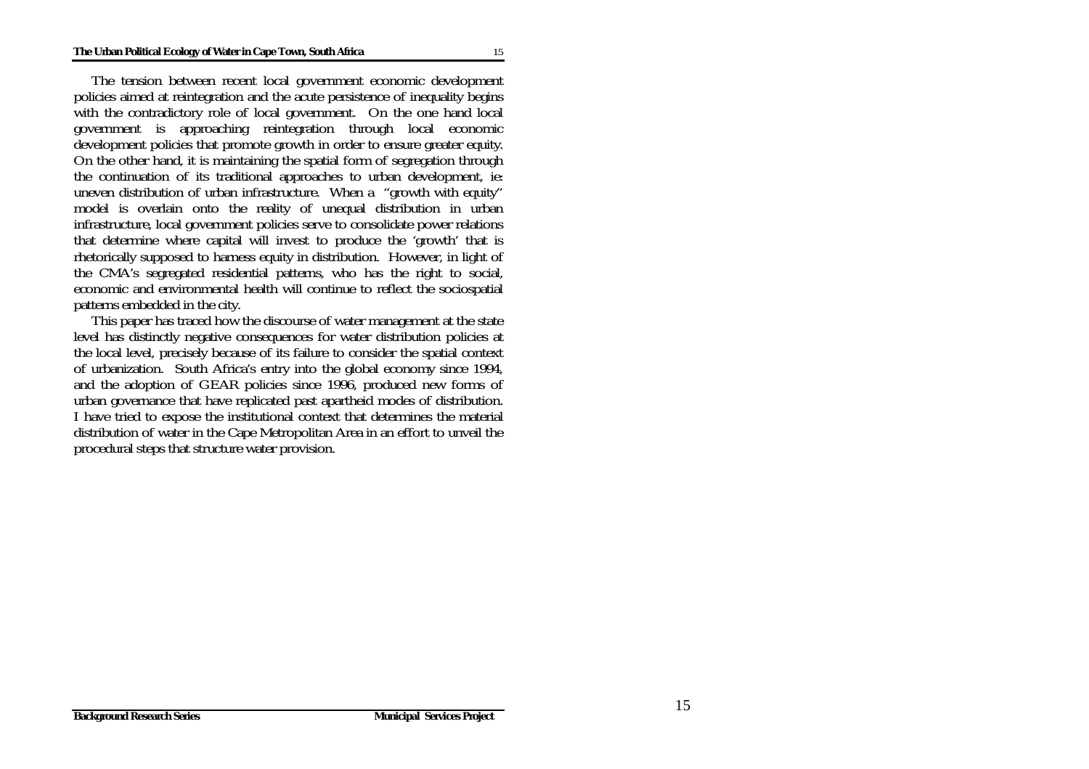The tension between recent local government economic development policies aimed at reintegration and the acute persistence of inequality begins with the contradictory role of local government. On the one hand local government is approaching reintegration through local economic development policies that promote growth in order to ensure greater equity. On the other hand, it is maintaining the spatial form of segregation through the continuation of its traditional approaches to urban development, ie: uneven distribution of urban infrastructure. When a "growth with equity" model is overlain onto the reality of unequal distribution in urban infrastructure, local government policies serve to consolidate power relations that determine where capital will invest to produce the 'growth' that is rhetorically supposed to harness equity in distribution. However, in light of the CMA's segregated residential patterns, who has the right to social, economic and environmental health will continue to reflect the sociospatial patterns embedded in the city.

 This paper has traced how the discourse of water management at the state level has distinctly negative consequences for water distribution policies at the local level, precisely because of its failure to consider the spatial context of urbanization. South Africa's entry into the global economy since 1994, and the adoption of GEAR policies since 1996, produced new forms of urban governance that have replicated past apartheid modes of distribution. I have tried to expose the institutional context that determines the material distribution of water in the Cape Metropolitan Area in an effort to unveil the procedural steps that structure water provision.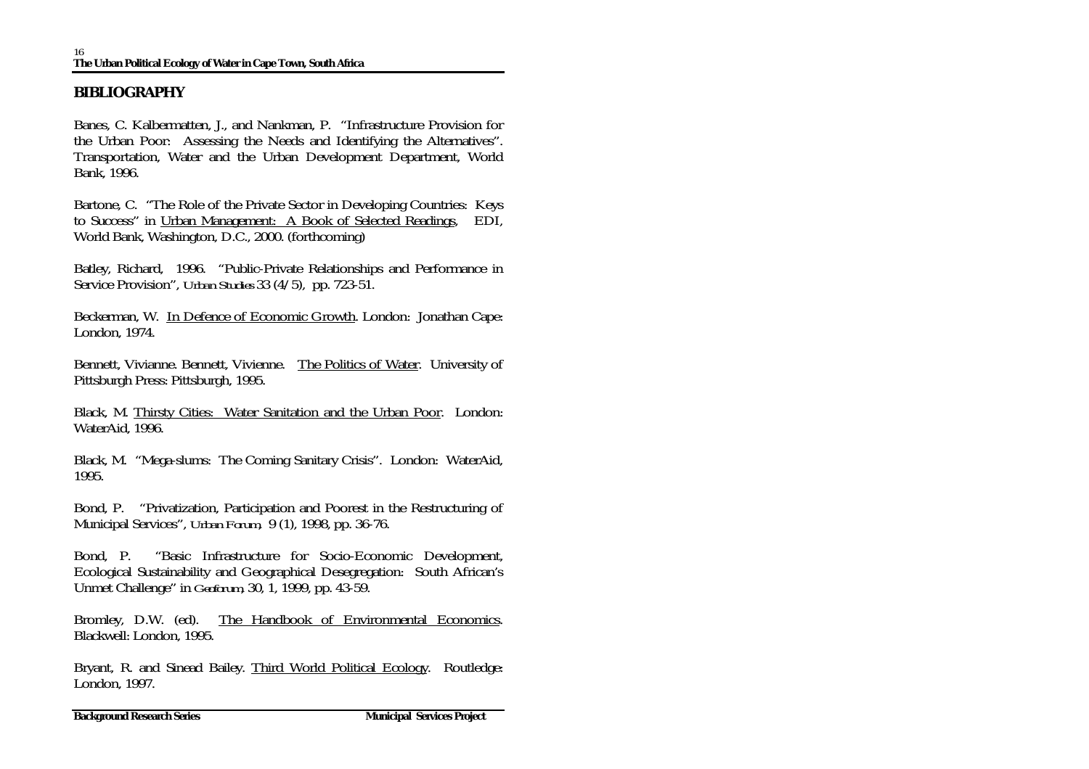## **BIBLIOGRAPHY**

Banes, C. Kalbermatten, J., and Nankman, P. "Infrastructure Provision for the Urban Poor: Assessing the Needs and Identifying the Alternatives". Transportation, Water and the Urban Development Department, World Bank, 1996.

Bartone, C. "The Role of the Private Sector in Developing Countries: Keys to Success" in Urban Management: A Book of Selected Readings, EDI, World Bank, Washington, D.C., 2000. (forthcoming)

Batley, Richard, 1996. "Public-Private Relationships and Performance in Service Provision", *Urban Studies* 33 (4/5), pp. 723-51.

Beckerman, W. In Defence of Economic Growth. London: Jonathan Cape: London, 1974.

Bennett, Vivianne. Bennett, Vivienne. The Politics of Water. University of Pittsburgh Press: Pittsburgh, 1995.

Black, M. Thirsty Cities: Water Sanitation and the Urban Poor. London: WaterAid, 1996.

Black, M. "Mega-slums: The Coming Sanitary Crisis". London: WaterAid, 1995.

Bond, P. "Privatization, Participation and Poorest in the Restructuring of Municipal Services", *Urban Forum*, 9 (1), 1998, pp. 36-76.

Bond, P. "Basic Infrastructure for Socio-Economic Development, Ecological Sustainability and Geographical Desegregation: South African's Unmet Challenge" in *Geoforum*, 30, 1, 1999, pp. 43-59.

Bromley, D.W. (ed). The Handbook of Environmental Economics. Blackwell: London, 1995.

Bryant, R. and Sinead Bailey. Third World Political Ecology. Routledge: London, 1997.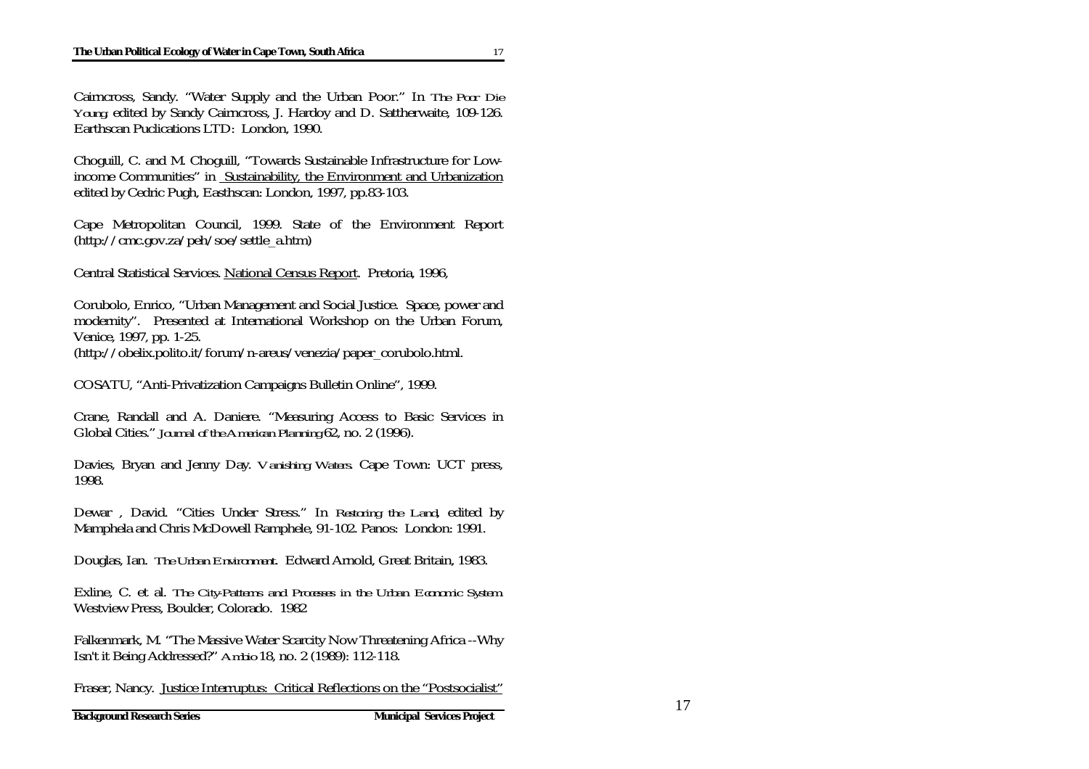Cairncross, Sandy. "Water Supply and the Urban Poor." In *The Poor Die Young*, edited by Sandy Cairncross, J. Hardoy and D. Sattherwaite, 109-126. Earthscan Puclications LTD: London, 1990.

Choguill, C. and M. Choguill, "Towards Sustainable Infrastructure for Lowincome Communities" in Sustainability, the Environment and Urbanization edited by Cedric Pugh, Easthscan: London, 1997, pp.83-103.

Cape Metropolitan Council, 1999. State of the Environment Report (http://cmc.gov.za/peh/soe/settle\_a.htm)

Central Statistical Services. National Census Report. Pretoria, 1996,

Corubolo, Enrico, "Urban Management and Social Justice. Space, power and modernity". Presented at International Workshop on the Urban Forum, Venice, 1997, pp. 1-25.

(http://obelix.polito.it/forum/n-areus/venezia/paper\_corubolo.html.

COSATU, "Anti-Privatization Campaigns Bulletin Online", 1999.

Crane, Randall and A. Daniere. "Measuring Access to Basic Services in Global Cities." *Journal of the American Planning* 62, no. 2 (1996).

Davies, Bryan and Jenny Day. *Vanishing Waters*. Cape Town: UCT press, 1998.

Dewar , David. "Cities Under Stress." In *Restoring the Land*, edited by Mamphela and Chris McDowell Ramphele, 91-102. Panos: London: 1991.

Douglas, Ian. *The Urban Environment*. Edward Arnold, Great Britain, 1983.

Exline, C. et al. *The City-Patterns and Processes in the Urban Economic System*. Westview Press, Boulder, Colorado. 1982

Falkenmark, M. "The Massive Water Scarcity Now Threatening Africa --Why Isn't it Being Addressed?" *Ambio* 18, no. 2 (1989): 112-118.

Fraser, Nancy. Justice Interruptus: Critical Reflections on the "Postsocialist"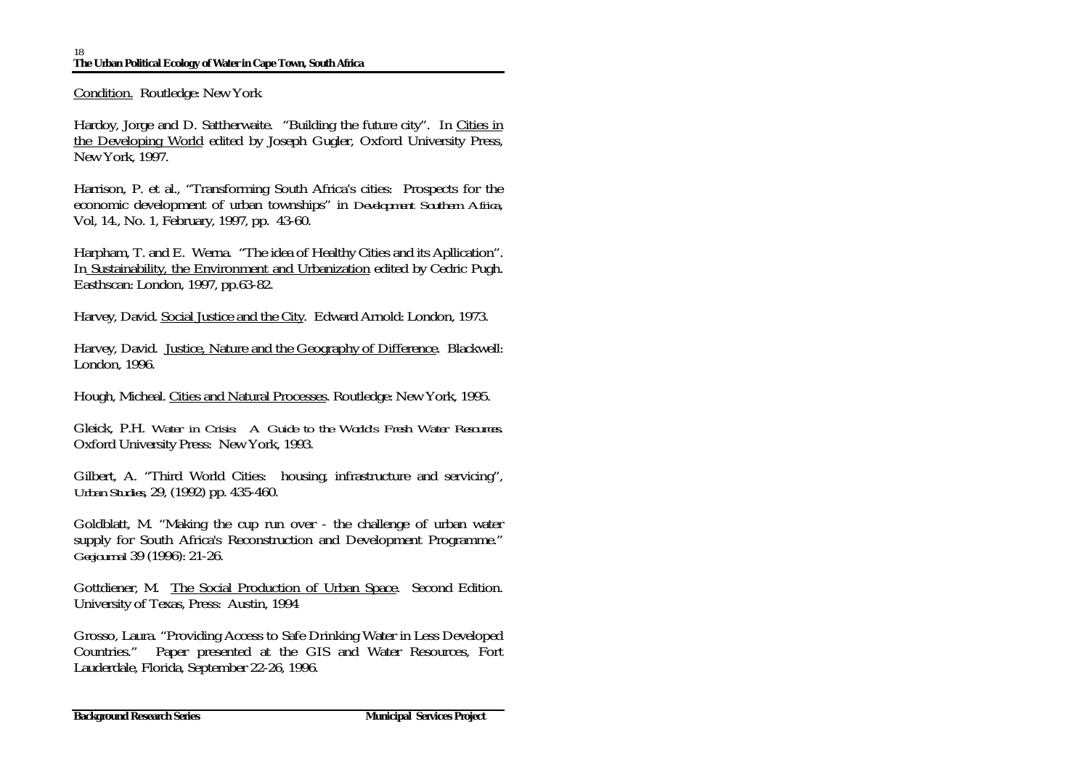Condition. Routledge: New York

Hardoy, Jorge and D. Sattherwaite. "Building the future city". In Cities in the Developing World edited by Joseph Gugler, Oxford University Press, New York, 1997.

Harrison, P. et al., "Transforming South Africa's cities: Prospects for the economic development of urban townships" in *Development Southern Africa*, Vol, 14., No. 1, February, 1997, pp. 43-60.

Harpham, T. and E. Werna. "The idea of Healthy Cities and its Apllication". In Sustainability, the Environment and Urbanization edited by Cedric Pugh. Easthscan: London, 1997, pp.63-82.

Harvey, David. Social Justice and the City. Edward Arnold: London, 1973.

Harvey, David. Justice, Nature and the Geography of Difference. Blackwell: London, 1996.

Hough, Micheal. Cities and Natural Processes. Routledge: New York, 1995.

Gleick, P.H. *Water in Crisis: A Guide to the World's Fresh Water Resources*. Oxford University Press: New York, 1993.

Gilbert, A. "Third World Cities: housing, infrastructure and servicing", *Urban Studies*, 29, (1992) pp. 435-460.

Goldblatt, M. "Making the cup run over - the challenge of urban water supply for South Africa's Reconstruction and Development Programme." *Geojournal* 39 (1996): 21-26.

Gottdiener, M. The Social Production of Urban Space. Second Edition. University of Texas, Press: Austin, 1994

Grosso, Laura. "Providing Access to Safe Drinking Water in Less Developed Countries." Paper presented at the GIS and Water Resources, Fort Lauderdale, Florida, September 22-26, 1996.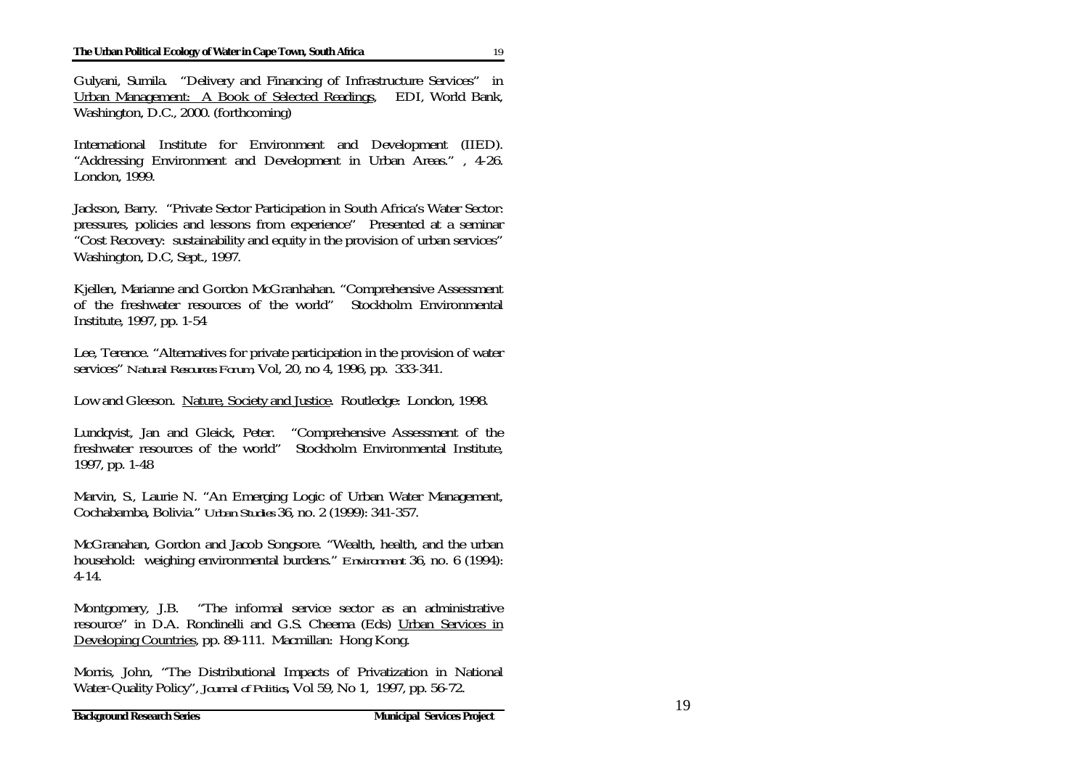Gulyani, Sumila. "Delivery and Financing of Infrastructure Services" in Urban Management: A Book of Selected Readings, EDI, World Bank, Washington, D.C., 2000. (forthcoming)

International Institute for Environment and Development (IIED). "Addressing Environment and Development in Urban Areas." , 4-26. London, 1999.

Jackson, Barry. "Private Sector Participation in South Africa's Water Sector: pressures, policies and lessons from experience" Presented at a seminar "Cost Recovery: sustainability and equity in the provision of urban services" Washington, D.C, Sept., 1997.

Kjellen, Marianne and Gordon McGranhahan. "Comprehensive Assessment of the freshwater resources of the world" Stockholm Environmental Institute, 1997, pp. 1-54

Lee, Terence. "Alternatives for private participation in the provision of water services" *Natural Resources Forum*, Vol, 20, no 4, 1996, pp. 333-341.

Low and Gleeson. Nature, Society and Justice. Routledge: London, 1998.

Lundqvist, Jan and Gleick, Peter. "Comprehensive Assessment of the freshwater resources of the world" Stockholm Environmental Institute, 1997, pp. 1-48

Marvin, S., Laurie N. "An Emerging Logic of Urban Water Management, Cochabamba, Bolivia." *Urban Studies* 36, no. 2 (1999): 341-357.

McGranahan, Gordon and Jacob Songsore. "Wealth, health, and the urban household: weighing environmental burdens." *Environment* 36, no. 6 (1994): 4-14.

Montgomery, J.B. "The informal service sector as an administrative resource" in D.A. Rondinelli and G.S. Cheema (Eds) Urban Services in Developing Countries, pp. 89-111. Macmillan: Hong Kong.

Morris, John, "The Distributional Impacts of Privatization in National Water-Quality Policy", *Journal of Politics*, Vol 59, No 1, 1997, pp. 56-72.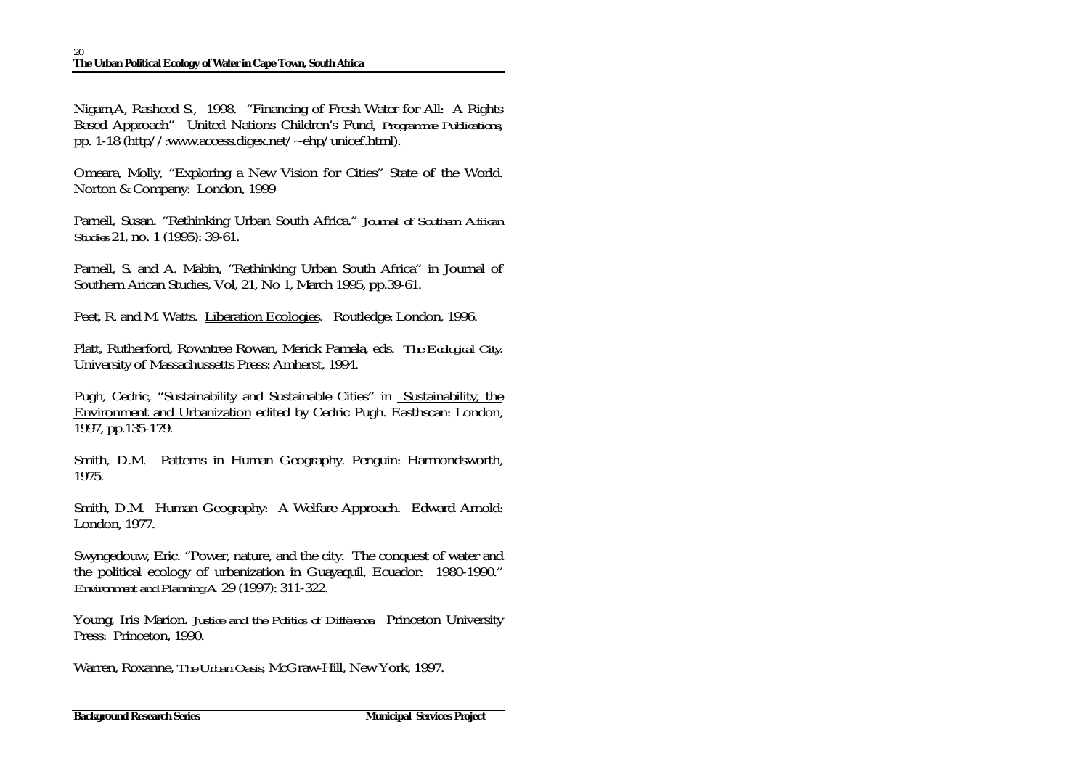Nigam,A, Rasheed S., 1998. "Financing of Fresh Water for All: A Rights Based Approach" United Nations Children's Fund, *Programme Publications*, pp. 1-18 (http//:www.access.digex.net/~ehp/unicef.html).

Omeara, Molly, "Exploring a New Vision for Cities" State of the World. Norton & Company: London, 1999

Parnell, Susan. "Rethinking Urban South Africa." *Journal of Southern African Studies* 21, no. 1 (1995): 39-61.

Parnell, S. and A. Mabin, "Rethinking Urban South Africa" in Journal of Southern Arican Studies, Vol, 21, No 1, March 1995, pp.39-61.

Peet, R. and M. Watts. Liberation Ecologies. Routledge: London, 1996.

Platt, Rutherford, Rowntree Rowan, Merick Pamela, eds. *The Ecological City*. University of Massachussetts Press: Amherst, 1994.

Pugh, Cedric, "Sustainability and Sustainable Cities" in Sustainability, the Environment and Urbanization edited by Cedric Pugh. Easthscan: London, 1997, pp.135-179.

Smith, D.M. Patterns in Human Geography. Penguin: Harmondsworth, 1975.

Smith, D.M. Human Geography: A Welfare Approach. Edward Arnold: London, 1977.

Swyngedouw, Eric. "Power, nature, and the city. The conquest of water and the political ecology of urbanization in Guayaquil, Ecuador: 1980-1990." *Environment and Planning A* 29 (1997): 311-322.

Young, Iris Marion. *Justice and the Politics of Difference*. Princeton University Press: Princeton, 1990.

Warren, Roxanne, *The Urban Oasis,* McGraw-Hill, New York, 1997.